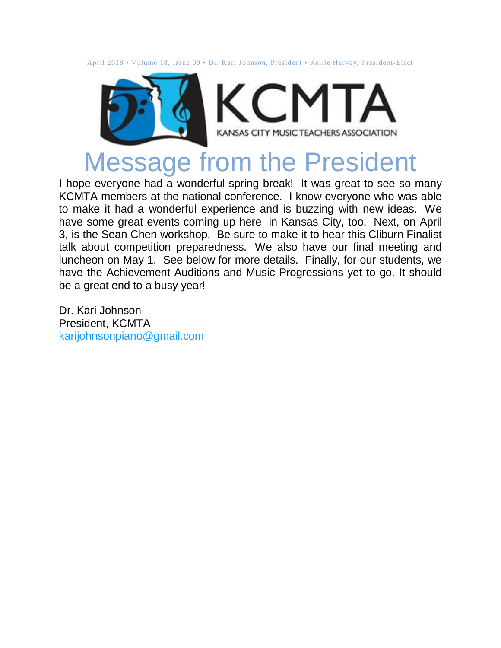April 2018 • Volume 18, Issue 09 • Dr. Kari Johnson, President • Kellie Harvey, President-Elect



#### Message from the President

I hope everyone had a wonderful spring break! It was great to see so many KCMTA members at the national conference. I know everyone who was able to make it had a wonderful experience and is buzzing with new ideas. We have some great events coming up here in Kansas City, too. Next, on April 3, is the Sean Chen workshop. Be sure to make it to hear this Cliburn Finalist talk about competition preparedness. We also have our final meeting and luncheon on May 1. See below for more details. Finally, for our students, we have the Achievement Auditions and Music Progressions yet to go. It should be a great end to a busy year!

Dr. Kari Johnson President, KCMTA [karijohnsonpiano@gmail.com](mailto:karijohnsonpiano@gmail.com)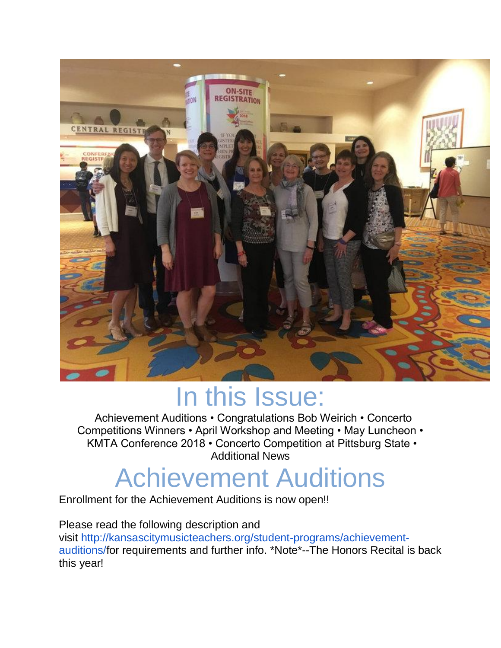

## In this Issue:

Achievement Auditions • Congratulations Bob Weirich • Concerto Competitions Winners • April Workshop and Meeting • May Luncheon • KMTA Conference 2018 • Concerto Competition at Pittsburg State • Additional News

# Achievement Auditions

Enrollment for the Achievement Auditions is now open!!

Please read the following description and visit [http://kansascitymusicteachers.org/student-programs/achievement](http://kansascitymusicteachers.org/student-programs/achievement-auditions/)[auditions/f](http://kansascitymusicteachers.org/student-programs/achievement-auditions/)or requirements and further info. \*Note\*--The Honors Recital is back this year!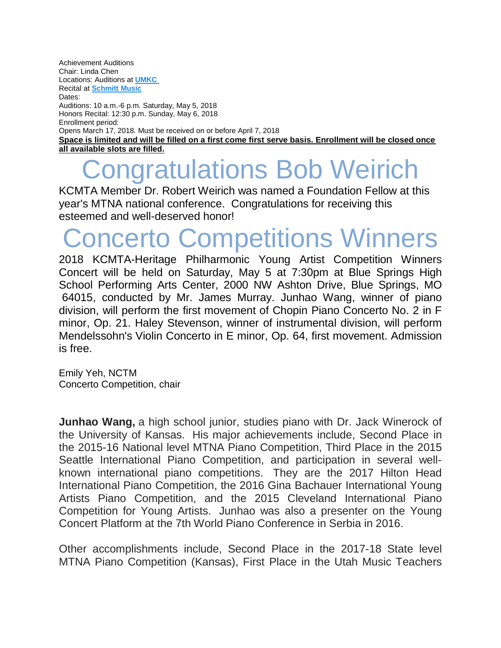Achievement Auditions Chair: Linda Chen Locations: Auditions at **[UMKC](http://kansascitymusicteachers.org/for-members/locations/)** Recital at **[Schmitt Music](http://kansascitymusicteachers.org/for-members/locations/)** Dates: Auditions: 10 a.m.-6 p.m. Saturday, May 5, 2018 Honors Recital: 12:30 p.m. Sunday, May 6, 2018 Enrollment period: Opens March 17, 2018. Must be received on or before April 7, 2018 **[Space is limited and will be filled on a first come first serve basis. Enrollment will be closed once](http://kansascitymusicteachers.org/wp-content/uploads/2013/01/Audition-Recital-Group-2015.jpg)  [all available slots are filled.](http://kansascitymusicteachers.org/wp-content/uploads/2013/01/Audition-Recital-Group-2015.jpg)**

## ngratulations Bob Weirich

KCMTA Member Dr. Robert Weirich was named a Foundation Fellow at this year's MTNA national conference. Congratulations for receiving this esteemed and well-deserved honor!

## Concerto Competitions Winners

2018 KCMTA-Heritage Philharmonic Young Artist Competition Winners Concert will be held on Saturday, May 5 at 7:30pm at Blue Springs High School Performing Arts Center, 2000 NW Ashton Drive, Blue Springs, MO 64015, conducted by Mr. James Murray. Junhao Wang, winner of piano division, will perform the first movement of Chopin Piano Concerto No. 2 in F minor, Op. 21. Haley Stevenson, winner of instrumental division, will perform Mendelssohn's Violin Concerto in E minor, Op. 64, first movement. Admission is free.

Emily Yeh, NCTM Concerto Competition, chair

**Junhao Wang,** a high school junior, studies piano with Dr. Jack Winerock of the University of Kansas. His major achievements include, Second Place in the 2015-16 National level MTNA Piano Competition, Third Place in the 2015 Seattle International Piano Competition, and participation in several wellknown international piano competitions. They are the 2017 Hilton Head International Piano Competition, the 2016 Gina Bachauer International Young Artists Piano Competition, and the 2015 Cleveland International Piano Competition for Young Artists. Junhao was also a presenter on the Young Concert Platform at the 7th World Piano Conference in Serbia in 2016.

Other accomplishments include, Second Place in the 2017-18 State level MTNA Piano Competition (Kansas), First Place in the Utah Music Teachers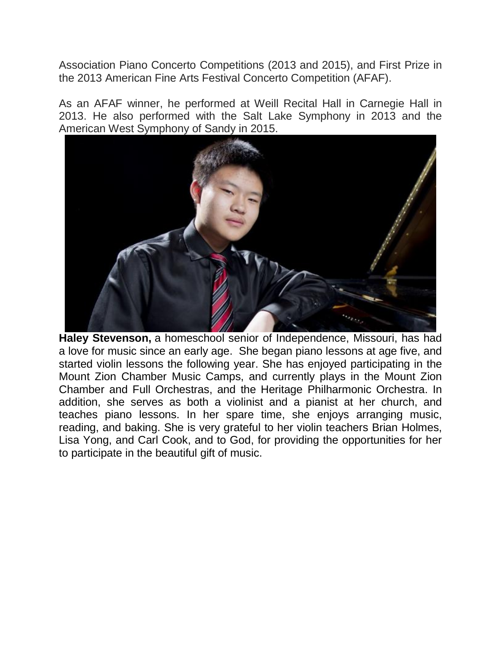Association Piano Concerto Competitions (2013 and 2015), and First Prize in the 2013 American Fine Arts Festival Concerto Competition (AFAF).

As an AFAF winner, he performed at Weill Recital Hall in Carnegie Hall in 2013. He also performed with the Salt Lake Symphony in 2013 and the American West Symphony of Sandy in 2015.



**Haley Stevenson,** a homeschool senior of Independence, Missouri, has had a love for music since an early age. She began piano lessons at age five, and started violin lessons the following year. She has enjoyed participating in the Mount Zion Chamber Music Camps, and currently plays in the Mount Zion Chamber and Full Orchestras, and the Heritage Philharmonic Orchestra. In addition, she serves as both a violinist and a pianist at her church, and teaches piano lessons. In her spare time, she enjoys arranging music, reading, and baking. She is very grateful to her violin teachers Brian Holmes, Lisa Yong, and Carl Cook, and to God, for providing the opportunities for her to participate in the beautiful gift of music.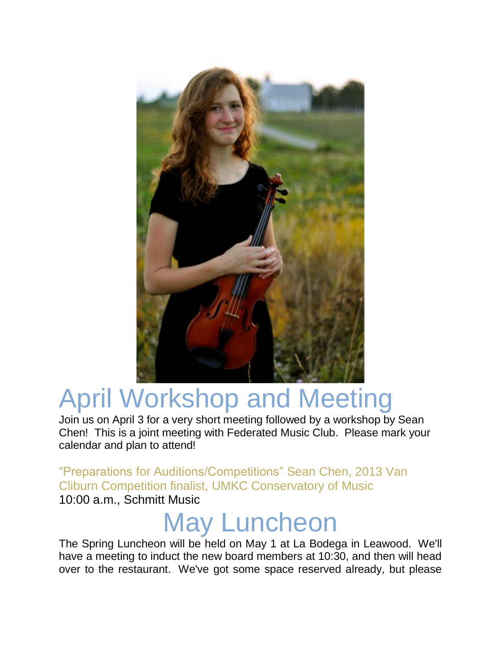

# April Workshop and Meeting

Join us on April 3 for a very short meeting followed by a workshop by Sean Chen! This is a joint meeting with Federated Music Club. Please mark your calendar and plan to attend!

"Preparations for Auditions/Competitions" Sean Chen, 2013 Van Cliburn Competition finalist, UMKC Conservatory of Music 10:00 a.m., Schmitt Music

## May Luncheon

The Spring Luncheon will be held on May 1 at La Bodega in Leawood. We'll have a meeting to induct the new board members at 10:30, and then will head over to the restaurant. We've got some space reserved already, but please